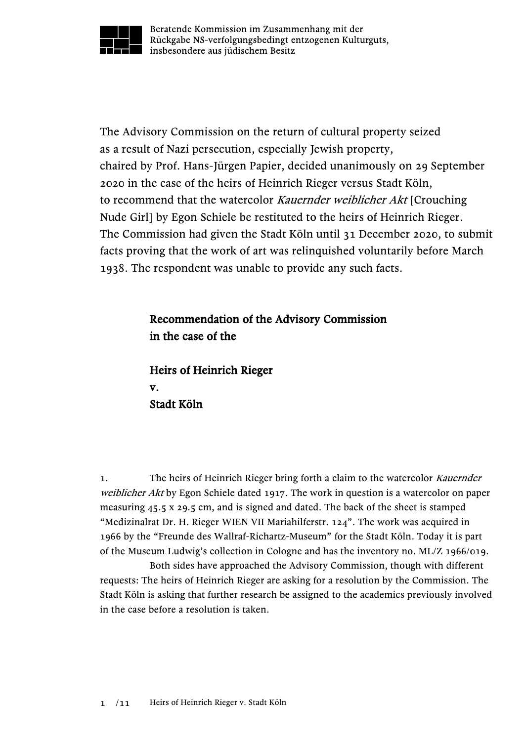

Beratende Kommission im Zusammenhang mit der Rückgabe NS-verfolgungsbedingt entzogenen Kulturguts, insbesondere aus jüdischem Besitz

The Advisory Commission on the return of cultural property seized as a result of Nazi persecution, especially Jewish property, chaired by Prof. Hans-Jürgen Papier, decided unanimously on 29 September 2020 in the case of the heirs of Heinrich Rieger versus Stadt Köln, to recommend that the watercolor Kauernder weiblicher Akt [Crouching] Nude Girl] by Egon Schiele be restituted to the heirs of Heinrich Rieger. The Commission had given the Stadt Köln until 31 December 2020, to submit facts proving that the work of art was relinquished voluntarily before March 1938. The respondent was unable to provide any such facts.

## Recommendation of the Advisory Commission in the case of the

Heirs of Heinrich Rieger v. Stadt Köln

1. The heirs of Heinrich Rieger bring forth a claim to the watercolor Kauernder weiblicher Akt by Egon Schiele dated 1917. The work in question is a watercolor on paper measuring 45.5 x 29.5 cm, and is signed and dated. The back of the sheet is stamped "Medizinalrat Dr. H. Rieger WIEN VII Mariahilferstr. 124". The work was acquired in 1966 by the "Freunde des Wallraf-Richartz-Museum" for the Stadt Köln. Today it is part of the Museum Ludwig's collection in Cologne and has the inventory no. ML/Z 1966/019.

Both sides have approached the Advisory Commission, though with different requests: The heirs of Heinrich Rieger are asking for a resolution by the Commission. The Stadt Köln is asking that further research be assigned to the academics previously involved in the case before a resolution is taken.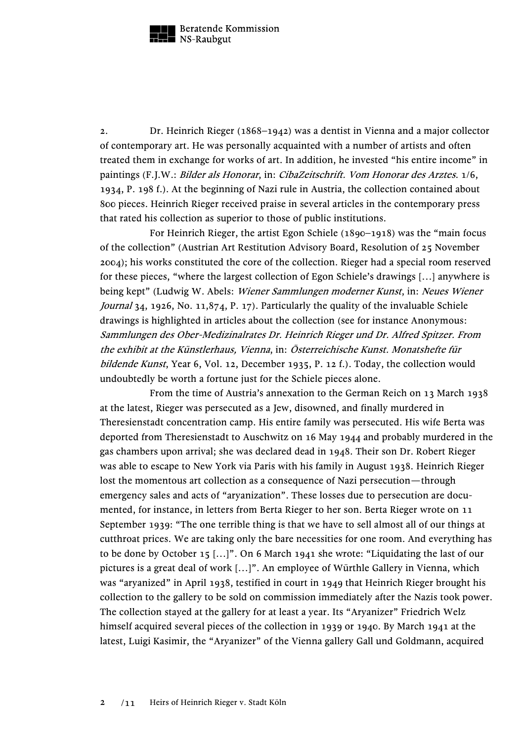

2. Dr. Heinrich Rieger (1868–1942) was a dentist in Vienna and a major collector of contemporary art. He was personally acquainted with a number of artists and often treated them in exchange for works of art. In addition, he invested "his entire income" in paintings (F.J.W.: Bilder als Honorar, in: CibaZeitschrift. Vom Honorar des Arztes. 1/6, 1934, P. 198 f.). At the beginning of Nazi rule in Austria, the collection contained about 800 pieces. Heinrich Rieger received praise in several articles in the contemporary press that rated his collection as superior to those of public institutions.

For Heinrich Rieger, the artist Egon Schiele (1890–1918) was the "main focus of the collection" (Austrian Art Restitution Advisory Board, Resolution of 25 November 2004); his works constituted the core of the collection. Rieger had a special room reserved for these pieces, "where the largest collection of Egon Schiele's drawings […] anywhere is being kept" (Ludwig W. Abels: Wiener Sammlungen moderner Kunst, in: Neues Wiener Journal 34, 1926, No. 11,874, P. 17). Particularly the quality of the invaluable Schiele drawings is highlighted in articles about the collection (see for instance Anonymous: Sammlungen des Ober-Medizinalrates Dr. Heinrich Rieger und Dr. Alfred Spitzer. From the exhibit at the Künstlerhaus, Vienna, in: Österreichische Kunst. Monatshefte für bildende Kunst, Year 6, Vol. 12, December 1935, P. 12 f.). Today, the collection would undoubtedly be worth a fortune just for the Schiele pieces alone.

From the time of Austria's annexation to the German Reich on 13 March 1938 at the latest, Rieger was persecuted as a Jew, disowned, and finally murdered in Theresienstadt concentration camp. His entire family was persecuted. His wife Berta was deported from Theresienstadt to Auschwitz on 16 May 1944 and probably murdered in the gas chambers upon arrival; she was declared dead in 1948. Their son Dr. Robert Rieger was able to escape to New York via Paris with his family in August 1938. Heinrich Rieger lost the momentous art collection as a consequence of Nazi persecution—through emergency sales and acts of "aryanization". These losses due to persecution are documented, for instance, in letters from Berta Rieger to her son. Berta Rieger wrote on 11 September 1939: "The one terrible thing is that we have to sell almost all of our things at cutthroat prices. We are taking only the bare necessities for one room. And everything has to be done by October 15 […]". On 6 March 1941 she wrote: "Liquidating the last of our pictures is a great deal of work […]". An employee of Würthle Gallery in Vienna, which was "aryanized" in April 1938, testified in court in 1949 that Heinrich Rieger brought his collection to the gallery to be sold on commission immediately after the Nazis took power. The collection stayed at the gallery for at least a year. Its "Aryanizer" Friedrich Welz himself acquired several pieces of the collection in 1939 or 1940. By March 1941 at the latest, Luigi Kasimir, the "Aryanizer" of the Vienna gallery Gall und Goldmann, acquired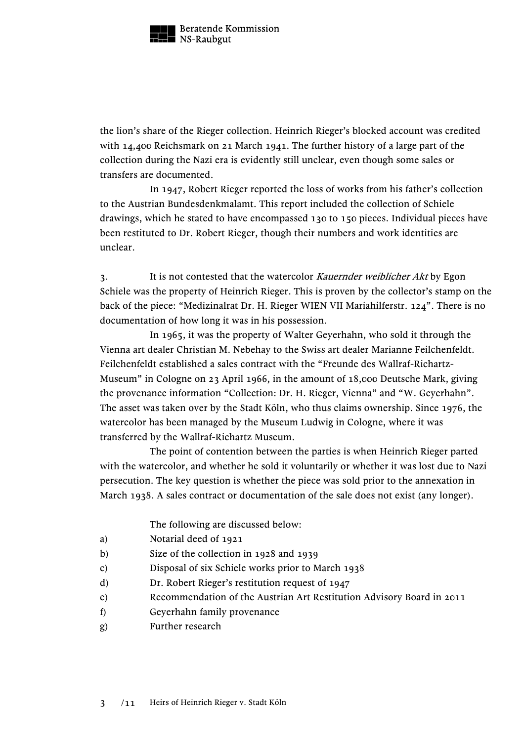

the lion's share of the Rieger collection. Heinrich Rieger's blocked account was credited with 14,400 Reichsmark on 21 March 1941. The further history of a large part of the collection during the Nazi era is evidently still unclear, even though some sales or transfers are documented.

In 1947, Robert Rieger reported the loss of works from his father's collection to the Austrian Bundesdenkmalamt. This report included the collection of Schiele drawings, which he stated to have encompassed 130 to 150 pieces. Individual pieces have been restituted to Dr. Robert Rieger, though their numbers and work identities are unclear.

3. It is not contested that the watercolor Kauernder weiblicher Akt by Egon Schiele was the property of Heinrich Rieger. This is proven by the collector's stamp on the back of the piece: "Medizinalrat Dr. H. Rieger WIEN VII Mariahilferstr. 124". There is no documentation of how long it was in his possession.

In 1965, it was the property of Walter Geyerhahn, who sold it through the Vienna art dealer Christian M. Nebehay to the Swiss art dealer Marianne Feilchenfeldt. Feilchenfeldt established a sales contract with the "Freunde des Wallraf-Richartz-Museum" in Cologne on 23 April 1966, in the amount of 18,000 Deutsche Mark, giving the provenance information "Collection: Dr. H. Rieger, Vienna" and "W. Geyerhahn". The asset was taken over by the Stadt Köln, who thus claims ownership. Since 1976, the watercolor has been managed by the Museum Ludwig in Cologne, where it was transferred by the Wallraf-Richartz Museum.

The point of contention between the parties is when Heinrich Rieger parted with the watercolor, and whether he sold it voluntarily or whether it was lost due to Nazi persecution. The key question is whether the piece was sold prior to the annexation in March 1938. A sales contract or documentation of the sale does not exist (any longer).

The following are discussed below:

- a) Notarial deed of 1921
- b) Size of the collection in 1928 and 1939
- c) Disposal of six Schiele works prior to March 1938
- d) Dr. Robert Rieger's restitution request of 1947
- e) Recommendation of the Austrian Art Restitution Advisory Board in 2011
- f) Geyerhahn family provenance
- g) Further research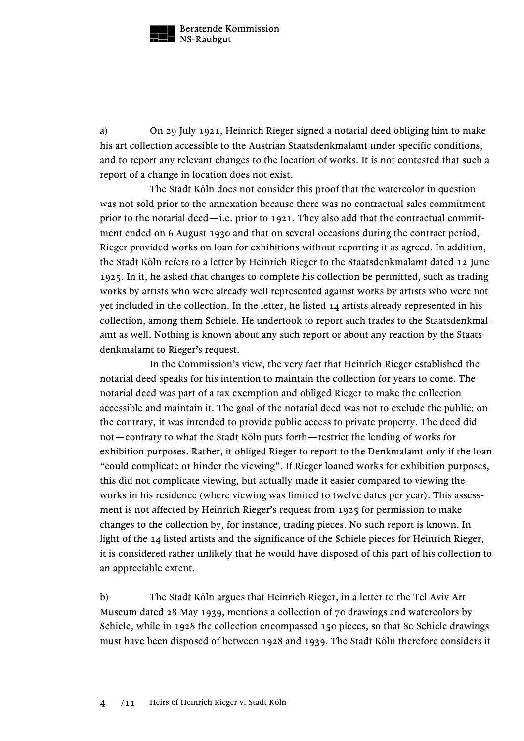

a) On 29 July 1921, Heinrich Rieger signed a notarial deed obliging him to make his art collection accessible to the Austrian Staatsdenkmalamt under specific conditions, and to report any relevant changes to the location of works. It is not contested that such a report of a change in location does not exist.

The Stadt Köln does not consider this proof that the watercolor in question was not sold prior to the annexation because there was no contractual sales commitment prior to the notarial deed—i.e. prior to 1921. They also add that the contractual commitment ended on 6 August 1930 and that on several occasions during the contract period, Rieger provided works on loan for exhibitions without reporting it as agreed. In addition, the Stadt Köln refers to a letter by Heinrich Rieger to the Staatsdenkmalamt dated 12 June 1925. In it, he asked that changes to complete his collection be permitted, such as trading works by artists who were already well represented against works by artists who were not yet included in the collection. In the letter, he listed 14 artists already represented in his collection, among them Schiele. He undertook to report such trades to the Staatsdenkmalamt as well. Nothing is known about any such report or about any reaction by the Staatsdenkmalamt to Rieger's request.

In the Commission's view, the very fact that Heinrich Rieger established the notarial deed speaks for his intention to maintain the collection for years to come. The notarial deed was part of a tax exemption and obliged Rieger to make the collection accessible and maintain it. The goal of the notarial deed was not to exclude the public; on the contrary, it was intended to provide public access to private property. The deed did not—contrary to what the Stadt Köln puts forth—restrict the lending of works for exhibition purposes. Rather, it obliged Rieger to report to the Denkmalamt only if the loan "could complicate or hinder the viewing". If Rieger loaned works for exhibition purposes, this did not complicate viewing, but actually made it easier compared to viewing the works in his residence (where viewing was limited to twelve dates per year). This assessment is not affected by Heinrich Rieger's request from 1925 for permission to make changes to the collection by, for instance, trading pieces. No such report is known. In light of the 14 listed artists and the significance of the Schiele pieces for Heinrich Rieger, it is considered rather unlikely that he would have disposed of this part of his collection to an appreciable extent.

b) The Stadt Köln argues that Heinrich Rieger, in a letter to the Tel Aviv Art Museum dated 28 May 1939, mentions a collection of 70 drawings and watercolors by Schiele, while in 1928 the collection encompassed 150 pieces, so that 80 Schiele drawings must have been disposed of between 1928 and 1939. The Stadt Köln therefore considers it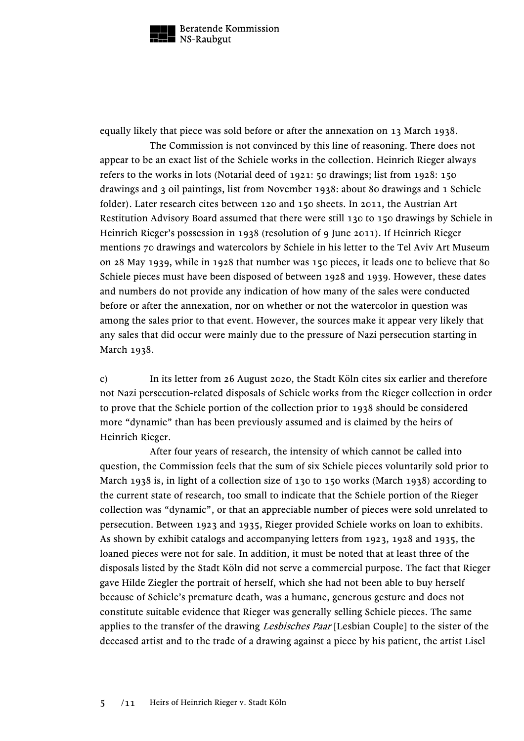

equally likely that piece was sold before or after the annexation on 13 March 1938.

The Commission is not convinced by this line of reasoning. There does not appear to be an exact list of the Schiele works in the collection. Heinrich Rieger always refers to the works in lots (Notarial deed of 1921: 50 drawings; list from 1928: 150 drawings and 3 oil paintings, list from November 1938: about 80 drawings and 1 Schiele folder). Later research cites between 120 and 150 sheets. In 2011, the Austrian Art Restitution Advisory Board assumed that there were still 130 to 150 drawings by Schiele in Heinrich Rieger's possession in 1938 (resolution of 9 June 2011). If Heinrich Rieger mentions 70 drawings and watercolors by Schiele in his letter to the Tel Aviv Art Museum on 28 May 1939, while in 1928 that number was 150 pieces, it leads one to believe that 80 Schiele pieces must have been disposed of between 1928 and 1939. However, these dates and numbers do not provide any indication of how many of the sales were conducted before or after the annexation, nor on whether or not the watercolor in question was among the sales prior to that event. However, the sources make it appear very likely that any sales that did occur were mainly due to the pressure of Nazi persecution starting in March 1938.

c) In its letter from 26 August 2020, the Stadt Köln cites six earlier and therefore not Nazi persecution-related disposals of Schiele works from the Rieger collection in order to prove that the Schiele portion of the collection prior to 1938 should be considered more "dynamic" than has been previously assumed and is claimed by the heirs of Heinrich Rieger.

After four years of research, the intensity of which cannot be called into question, the Commission feels that the sum of six Schiele pieces voluntarily sold prior to March 1938 is, in light of a collection size of 130 to 150 works (March 1938) according to the current state of research, too small to indicate that the Schiele portion of the Rieger collection was "dynamic", or that an appreciable number of pieces were sold unrelated to persecution. Between 1923 and 1935, Rieger provided Schiele works on loan to exhibits. As shown by exhibit catalogs and accompanying letters from 1923, 1928 and 1935, the loaned pieces were not for sale. In addition, it must be noted that at least three of the disposals listed by the Stadt Köln did not serve a commercial purpose. The fact that Rieger gave Hilde Ziegler the portrait of herself, which she had not been able to buy herself because of Schiele's premature death, was a humane, generous gesture and does not constitute suitable evidence that Rieger was generally selling Schiele pieces. The same applies to the transfer of the drawing Lesbisches Paar [Lesbian Couple] to the sister of the deceased artist and to the trade of a drawing against a piece by his patient, the artist Lisel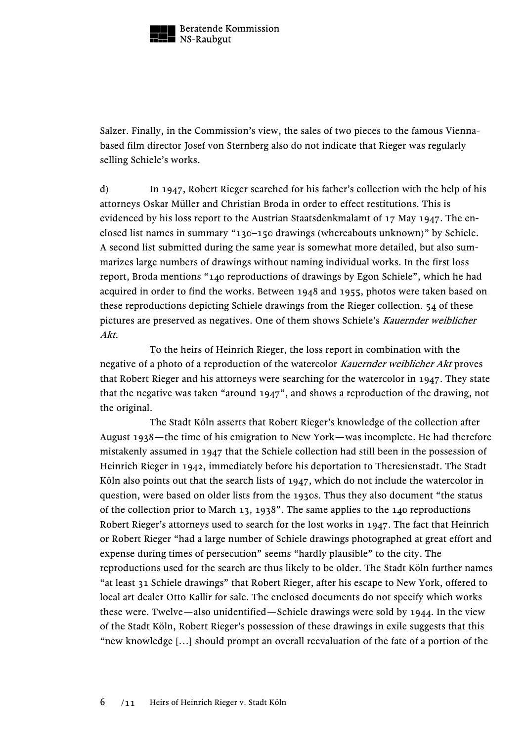

Salzer. Finally, in the Commission's view, the sales of two pieces to the famous Viennabased film director Josef von Sternberg also do not indicate that Rieger was regularly selling Schiele's works.

d) In 1947, Robert Rieger searched for his father's collection with the help of his attorneys Oskar Müller and Christian Broda in order to effect restitutions. This is evidenced by his loss report to the Austrian Staatsdenkmalamt of 17 May 1947. The enclosed list names in summary "130–150 drawings (whereabouts unknown)" by Schiele. A second list submitted during the same year is somewhat more detailed, but also summarizes large numbers of drawings without naming individual works. In the first loss report, Broda mentions "140 reproductions of drawings by Egon Schiele", which he had acquired in order to find the works. Between 1948 and 1955, photos were taken based on these reproductions depicting Schiele drawings from the Rieger collection. 54 of these pictures are preserved as negatives. One of them shows Schiele's Kauernder weiblicher Akt.

To the heirs of Heinrich Rieger, the loss report in combination with the negative of a photo of a reproduction of the watercolor Kauernder weiblicher Akt proves that Robert Rieger and his attorneys were searching for the watercolor in 1947. They state that the negative was taken "around 1947", and shows a reproduction of the drawing, not the original.

The Stadt Köln asserts that Robert Rieger's knowledge of the collection after August 1938—the time of his emigration to New York—was incomplete. He had therefore mistakenly assumed in 1947 that the Schiele collection had still been in the possession of Heinrich Rieger in 1942, immediately before his deportation to Theresienstadt. The Stadt Köln also points out that the search lists of 1947, which do not include the watercolor in question, were based on older lists from the 1930s. Thus they also document "the status of the collection prior to March 13, 1938". The same applies to the 140 reproductions Robert Rieger's attorneys used to search for the lost works in 1947. The fact that Heinrich or Robert Rieger "had a large number of Schiele drawings photographed at great effort and expense during times of persecution" seems "hardly plausible" to the city. The reproductions used for the search are thus likely to be older. The Stadt Köln further names "at least 31 Schiele drawings" that Robert Rieger, after his escape to New York, offered to local art dealer Otto Kallir for sale. The enclosed documents do not specify which works these were. Twelve—also unidentified—Schiele drawings were sold by 1944. In the view of the Stadt Köln, Robert Rieger's possession of these drawings in exile suggests that this "new knowledge […] should prompt an overall reevaluation of the fate of a portion of the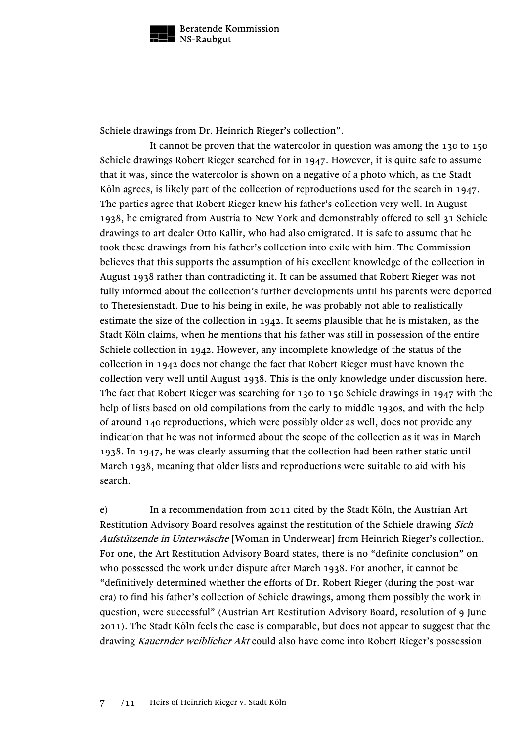

Schiele drawings from Dr. Heinrich Rieger's collection".

It cannot be proven that the watercolor in question was among the 130 to 150 Schiele drawings Robert Rieger searched for in 1947. However, it is quite safe to assume that it was, since the watercolor is shown on a negative of a photo which, as the Stadt Köln agrees, is likely part of the collection of reproductions used for the search in 1947. The parties agree that Robert Rieger knew his father's collection very well. In August 1938, he emigrated from Austria to New York and demonstrably offered to sell 31 Schiele drawings to art dealer Otto Kallir, who had also emigrated. It is safe to assume that he took these drawings from his father's collection into exile with him. The Commission believes that this supports the assumption of his excellent knowledge of the collection in August 1938 rather than contradicting it. It can be assumed that Robert Rieger was not fully informed about the collection's further developments until his parents were deported to Theresienstadt. Due to his being in exile, he was probably not able to realistically estimate the size of the collection in 1942. It seems plausible that he is mistaken, as the Stadt Köln claims, when he mentions that his father was still in possession of the entire Schiele collection in 1942. However, any incomplete knowledge of the status of the collection in 1942 does not change the fact that Robert Rieger must have known the collection very well until August 1938. This is the only knowledge under discussion here. The fact that Robert Rieger was searching for 130 to 150 Schiele drawings in 1947 with the help of lists based on old compilations from the early to middle 1930s, and with the help of around 140 reproductions, which were possibly older as well, does not provide any indication that he was not informed about the scope of the collection as it was in March 1938. In 1947, he was clearly assuming that the collection had been rather static until March 1938, meaning that older lists and reproductions were suitable to aid with his search.

e) In a recommendation from 2011 cited by the Stadt Köln, the Austrian Art Restitution Advisory Board resolves against the restitution of the Schiele drawing Sich Aufstützende in Unterwäsche [Woman in Underwear] from Heinrich Rieger's collection. For one, the Art Restitution Advisory Board states, there is no "definite conclusion" on who possessed the work under dispute after March 1938. For another, it cannot be "definitively determined whether the efforts of Dr. Robert Rieger (during the post-war era) to find his father's collection of Schiele drawings, among them possibly the work in question, were successful" (Austrian Art Restitution Advisory Board, resolution of 9 June 2011). The Stadt Köln feels the case is comparable, but does not appear to suggest that the drawing Kauernder weiblicher Akt could also have come into Robert Rieger's possession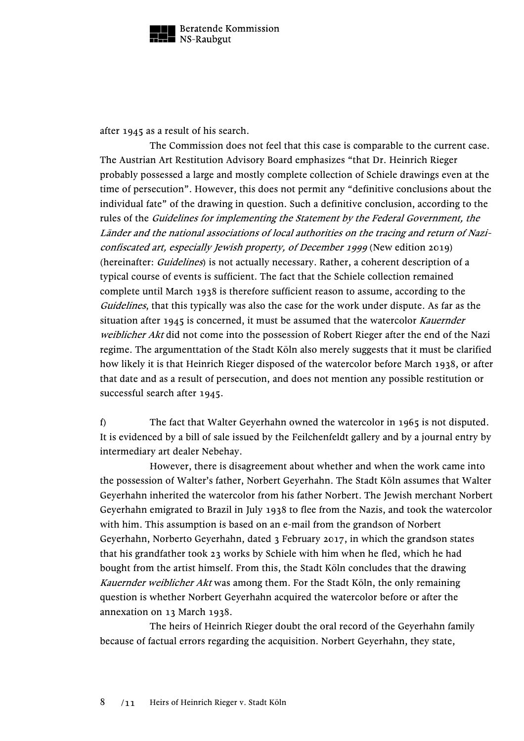

after 1945 as a result of his search.

The Commission does not feel that this case is comparable to the current case. The Austrian Art Restitution Advisory Board emphasizes "that Dr. Heinrich Rieger probably possessed a large and mostly complete collection of Schiele drawings even at the time of persecution". However, this does not permit any "definitive conclusions about the individual fate" of the drawing in question. Such a definitive conclusion, according to the rules of the Guidelines for implementing the Statement by the Federal Government, the Länder and the national associations of local authorities on the tracing and return of Naziconfiscated art, especially Jewish property, of December 1999 (New edition 2019) (hereinafter: *Guidelines*) is not actually necessary. Rather, a coherent description of a typical course of events is sufficient. The fact that the Schiele collection remained complete until March 1938 is therefore sufficient reason to assume, according to the Guidelines, that this typically was also the case for the work under dispute. As far as the situation after 1945 is concerned, it must be assumed that the watercolor Kauernder weiblicher Akt did not come into the possession of Robert Rieger after the end of the Nazi regime. The argumenttation of the Stadt Köln also merely suggests that it must be clarified how likely it is that Heinrich Rieger disposed of the watercolor before March 1938, or after that date and as a result of persecution, and does not mention any possible restitution or successful search after 1945.

f) The fact that Walter Geyerhahn owned the watercolor in 1965 is not disputed. It is evidenced by a bill of sale issued by the Feilchenfeldt gallery and by a journal entry by intermediary art dealer Nebehay.

However, there is disagreement about whether and when the work came into the possession of Walter's father, Norbert Geyerhahn. The Stadt Köln assumes that Walter Geyerhahn inherited the watercolor from his father Norbert. The Jewish merchant Norbert Geyerhahn emigrated to Brazil in July 1938 to flee from the Nazis, and took the watercolor with him. This assumption is based on an e-mail from the grandson of Norbert Geyerhahn, Norberto Geyerhahn, dated 3 February 2017, in which the grandson states that his grandfather took 23 works by Schiele with him when he fled, which he had bought from the artist himself. From this, the Stadt Köln concludes that the drawing Kauernder weiblicher Akt was among them. For the Stadt Köln, the only remaining question is whether Norbert Geyerhahn acquired the watercolor before or after the annexation on 13 March 1938.

The heirs of Heinrich Rieger doubt the oral record of the Geyerhahn family because of factual errors regarding the acquisition. Norbert Geyerhahn, they state,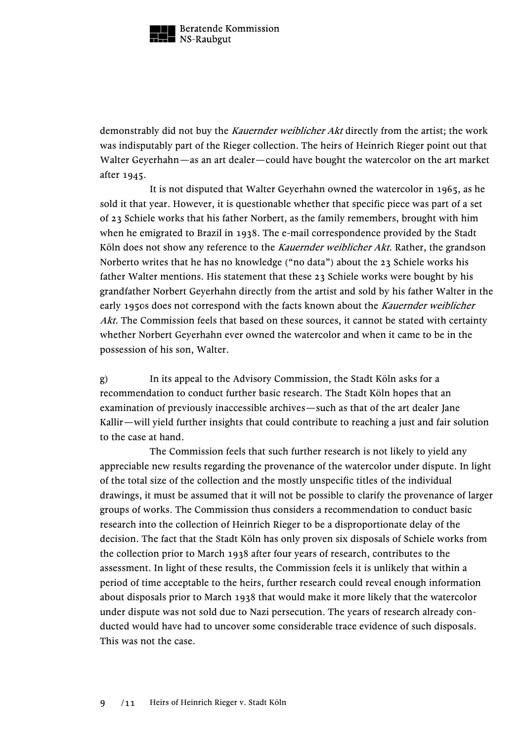

demonstrably did not buy the *Kauernder weiblicher Akt* directly from the artist; the work was indisputably part of the Rieger collection. The heirs of Heinrich Rieger point out that Walter Geyerhahn—as an art dealer—could have bought the watercolor on the art market after 1945.

It is not disputed that Walter Geyerhahn owned the watercolor in 1965, as he sold it that year. However, it is questionable whether that specific piece was part of a set of 23 Schiele works that his father Norbert, as the family remembers, brought with him when he emigrated to Brazil in 1938. The e-mail correspondence provided by the Stadt Köln does not show any reference to the *Kauernder weiblicher Akt*. Rather, the grandson Norberto writes that he has no knowledge ("no data") about the 23 Schiele works his father Walter mentions. His statement that these 23 Schiele works were bought by his grandfather Norbert Geyerhahn directly from the artist and sold by his father Walter in the early 1950s does not correspond with the facts known about the Kauernder weiblicher Akt. The Commission feels that based on these sources, it cannot be stated with certainty whether Norbert Geyerhahn ever owned the watercolor and when it came to be in the possession of his son, Walter.

g) In its appeal to the Advisory Commission, the Stadt Köln asks for a recommendation to conduct further basic research. The Stadt Köln hopes that an examination of previously inaccessible archives—such as that of the art dealer Jane Kallir—will yield further insights that could contribute to reaching a just and fair solution to the case at hand.

The Commission feels that such further research is not likely to yield any appreciable new results regarding the provenance of the watercolor under dispute. In light of the total size of the collection and the mostly unspecific titles of the individual drawings, it must be assumed that it will not be possible to clarify the provenance of larger groups of works. The Commission thus considers a recommendation to conduct basic research into the collection of Heinrich Rieger to be a disproportionate delay of the decision. The fact that the Stadt Köln has only proven six disposals of Schiele works from the collection prior to March 1938 after four years of research, contributes to the assessment. In light of these results, the Commission feels it is unlikely that within a period of time acceptable to the heirs, further research could reveal enough information about disposals prior to March 1938 that would make it more likely that the watercolor under dispute was not sold due to Nazi persecution. The years of research already conducted would have had to uncover some considerable trace evidence of such disposals. This was not the case.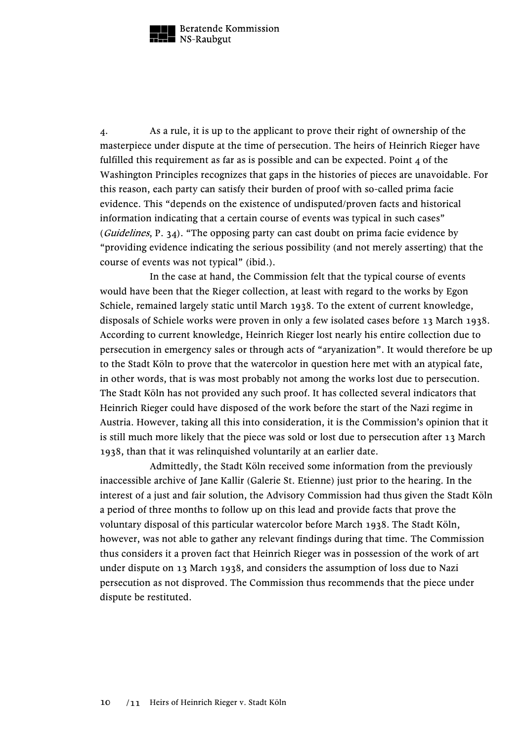

4. As a rule, it is up to the applicant to prove their right of ownership of the masterpiece under dispute at the time of persecution. The heirs of Heinrich Rieger have fulfilled this requirement as far as is possible and can be expected. Point  $\alpha$  of the Washington Principles recognizes that gaps in the histories of pieces are unavoidable. For this reason, each party can satisfy their burden of proof with so-called prima facie evidence. This "depends on the existence of undisputed/proven facts and historical information indicating that a certain course of events was typical in such cases" (Guidelines, P. 34). "The opposing party can cast doubt on prima facie evidence by "providing evidence indicating the serious possibility (and not merely asserting) that the course of events was not typical" (ibid.).

In the case at hand, the Commission felt that the typical course of events would have been that the Rieger collection, at least with regard to the works by Egon Schiele, remained largely static until March 1938. To the extent of current knowledge, disposals of Schiele works were proven in only a few isolated cases before 13 March 1938. According to current knowledge, Heinrich Rieger lost nearly his entire collection due to persecution in emergency sales or through acts of "aryanization". It would therefore be up to the Stadt Köln to prove that the watercolor in question here met with an atypical fate, in other words, that is was most probably not among the works lost due to persecution. The Stadt Köln has not provided any such proof. It has collected several indicators that Heinrich Rieger could have disposed of the work before the start of the Nazi regime in Austria. However, taking all this into consideration, it is the Commission's opinion that it is still much more likely that the piece was sold or lost due to persecution after 13 March 1938, than that it was relinquished voluntarily at an earlier date.

Admittedly, the Stadt Köln received some information from the previously inaccessible archive of Jane Kallir (Galerie St. Etienne) just prior to the hearing. In the interest of a just and fair solution, the Advisory Commission had thus given the Stadt Köln a period of three months to follow up on this lead and provide facts that prove the voluntary disposal of this particular watercolor before March 1938. The Stadt Köln, however, was not able to gather any relevant findings during that time. The Commission thus considers it a proven fact that Heinrich Rieger was in possession of the work of art under dispute on 13 March 1938, and considers the assumption of loss due to Nazi persecution as not disproved. The Commission thus recommends that the piece under dispute be restituted.